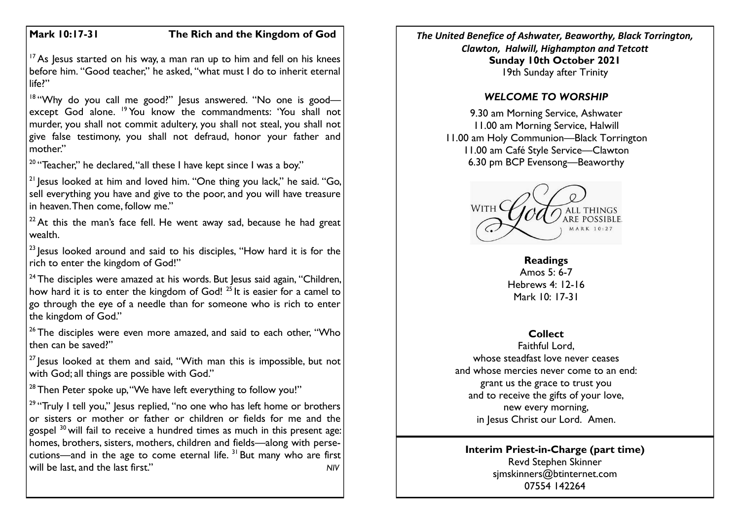# **Mark 10:17-31 The Rich and the Kingdom of God**

 $17$  As Jesus started on his way, a man ran up to him and fell on his knees before him. "Good teacher," he asked, "what must I do to inherit eternal life?"

<sup>18</sup> "Why do you call me good?" Jesus answered. "No one is goodexcept God alone. <sup>19</sup> You know the commandments: 'You shall not murder, you shall not commit adultery, you shall not steal, you shall not give false testimony, you shall not defraud, honor your father and mother."

<sup>20</sup> "Teacher," he declared, "all these I have kept since I was a boy."

 $21$  lesus looked at him and loved him. "One thing you lack," he said. "Go, sell everything you have and give to the poor, and you will have treasure in heaven. Then come, follow me."

 $22$  At this the man's face fell. He went away sad, because he had great wealth.

 $23$  lesus looked around and said to his disciples, "How hard it is for the rich to enter the kingdom of God!"

 $24$  The disciples were amazed at his words. But Jesus said again, "Children, how hard it is to enter the kingdom of God!  $2^5$  It is easier for a camel to go through the eye of a needle than for someone who is rich to enter the kingdom of God."

 $26$  The disciples were even more amazed, and said to each other, "Who then can be saved?"

 $27$  Jesus looked at them and said, "With man this is impossible, but not with God; all things are possible with God."

 $28$  Then Peter spoke up, "We have left everything to follow you!"

<sup>29</sup> "Truly I tell you," Jesus replied, "no one who has left home or brothers or sisters or mother or father or children or fields for me and the gospel <sup>30</sup> will fail to receive a hundred times as much in this present age: homes, brothers, sisters, mothers, children and fields—along with persecutions—and in the age to come eternal life.  $31$  But many who are first will be last, and the last first." *NIV*

*The United Benefice of Ashwater, Beaworthy, Black Torrington, Clawton, Halwill, Highampton and Tetcott* **Sunday 10th October 2021** 19th Sunday after Trinity

# *WELCOME TO WORSHIP*

9.30 am Morning Service, Ashwater 11.00 am Morning Service, Halwill 11.00 am Holy Communion—Black Torrington 11.00 am Café Style Service—Clawton 6.30 pm BCP Evensong—Beaworthy



**Readings** Amos  $5: 6-7$ Hebrews 4: 12-16 Mark 10: 17-31

# **Collect**

Faithful Lord, whose steadfast love never ceases and whose mercies never come to an end: grant us the grace to trust you and to receive the gifts of your love, new every morning, in Jesus Christ our Lord. Amen.

### **Interim Priest-in-Charge (part time)** Revd Stephen Skinner [sjmskinners@btinternet.com](mailto:sjmskinners@btinternet.com) 07554 142264